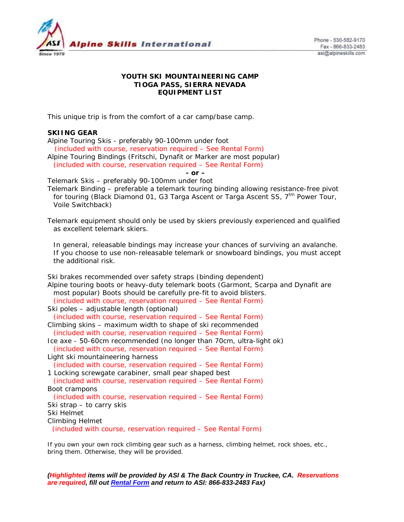

Phone - 530-582-9170 Fax - 866-833-2483 asi@alpineskills.com

### **YOUTH SKI MOUNTAINEERING CAMP TIOGA PASS, SIERRA NEVADA EQUIPMENT LIST**

This unique trip is from the comfort of a car camp/base camp.

# **SKIING GEAR**

Alpine Touring Skis - preferably 90-100mm under foot

 *(included with course, reservation required – See Rental Form)* Alpine Touring Bindings (Fritschi, Dynafit or Marker are most popular) *(included with course, reservation required – See Rental Form)*

*- or –* 

Telemark Skis – preferably 90-100mm under foot

Telemark Binding – preferable a telemark touring binding allowing resistance-free pivot for touring (Black Diamond 01, G3 Targa Ascent or Targa Ascent SS,  $7<sup>tm</sup>$  Power Tour, Voile Switchback)

Telemark equipment should only be used by skiers previously experienced and qualified as excellent telemark skiers.

*In general, releasable bindings may increase your chances of surviving an avalanche. If you choose to use non-releasable telemark or snowboard bindings, you must accept the additional risk.* 

Ski brakes recommended over safety straps (binding dependent) Alpine touring boots or heavy-duty telemark boots (Garmont, Scarpa and Dynafit are most popular) Boots should be carefully pre-fit to avoid blisters. *(included with course, reservation required – See Rental Form)*  Ski poles – adjustable length (optional) *(included with course, reservation required – See Rental Form)*  Climbing skins – maximum width to shape of ski recommended *(included with course, reservation required – See Rental Form)* Ice axe - 50-60cm recommended (no longer than 70cm, ultra-light ok) *(included with course, reservation required – See Rental Form)*  Light ski mountaineering harness *(included with course, reservation required – See Rental Form)*  1 Locking screwgate carabiner, small pear shaped best *(included with course, reservation required – See Rental Form)*  Boot crampons *(included with course, reservation required – See Rental Form)* Ski strap – to carry skis Ski Helmet Climbing Helmet *(included with course, reservation required – See Rental Form)*

If you own your own rock climbing gear such as a harness, climbing helmet, rock shoes, etc., bring them. Otherwise, they will be provided.

*(Highlighted items will be provided by ASI & The Back Country in Truckee, CA. Reservations are required, fill out Rental Form and return to ASI: 866-833-2483 Fax)*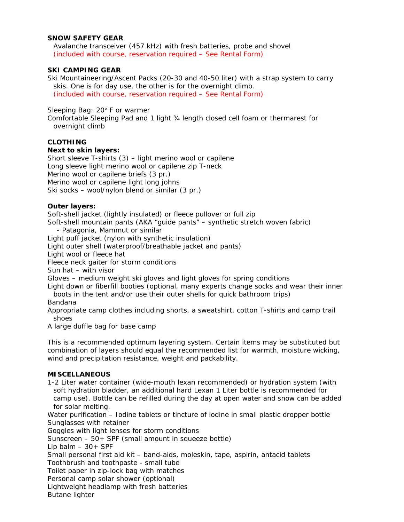### **SNOW SAFETY GEAR**

Avalanche transceiver (457 kHz) with fresh batteries, probe and shovel *(included with course, reservation required – See Rental Form)*

## **SKI CAMPING GEAR**

Ski Mountaineering/Ascent Packs (20-30 and 40-50 liter) with a strap system to carry skis. One is for day use, the other is for the overnight climb. *(included with course, reservation required – See Rental Form)*

### Sleeping Bag: 20° F or warmer

Comfortable Sleeping Pad and 1 light ¾ length closed cell foam or thermarest for overnight climb

### **CLOTHING**

#### **Next to skin layers:**

Short sleeve T-shirts (3) – light merino wool or capilene Long sleeve light merino wool or capilene zip T-neck Merino wool or capilene briefs (3 pr.) Merino wool or capilene light long johns Ski socks – wool/nylon blend or similar (3 pr.)

#### **Outer layers:**

Soft-shell jacket (lightly insulated) or fleece pullover or full zip

Soft-shell mountain pants (AKA "guide pants" – synthetic stretch woven fabric)

- Patagonia, Mammut or similar

Light puff jacket (nylon with synthetic insulation)

Light outer shell (waterproof/breathable jacket and pants)

Light wool or fleece hat

Fleece neck gaiter for storm conditions

Sun hat – with visor

Gloves – medium weight ski gloves and light gloves for spring conditions

Light down or fiberfill booties (optional, many experts change socks and wear their inner boots in the tent and/or use their outer shells for quick bathroom trips)

Bandana

Appropriate camp clothes including shorts, a sweatshirt, cotton T-shirts and camp trail shoes

A large duffle bag for base camp

*This is a recommended optimum layering system. Certain items may be substituted but combination of layers should equal the recommended list for warmth, moisture wicking, wind and precipitation resistance, weight and packability.* 

#### **MISCELLANEOUS**

1-2 Liter water container (wide-mouth lexan recommended) or hydration system (with soft hydration bladder, an additional hard Lexan 1 Liter bottle is recommended for camp use). Bottle can be refilled during the day at open water and snow can be added for solar melting.

Water purification – Iodine tablets or tincture of iodine in small plastic dropper bottle Sunglasses with retainer

Goggles with light lenses for storm conditions

Sunscreen – 50+ SPF (small amount in squeeze bottle)

Lip balm  $-30+$  SPF

Small personal first aid kit – band-aids, moleskin, tape, aspirin, antacid tablets

Toothbrush and toothpaste - small tube

Toilet paper in zip-lock bag with matches

Personal camp solar shower (optional)

Lightweight headlamp with fresh batteries

Butane lighter